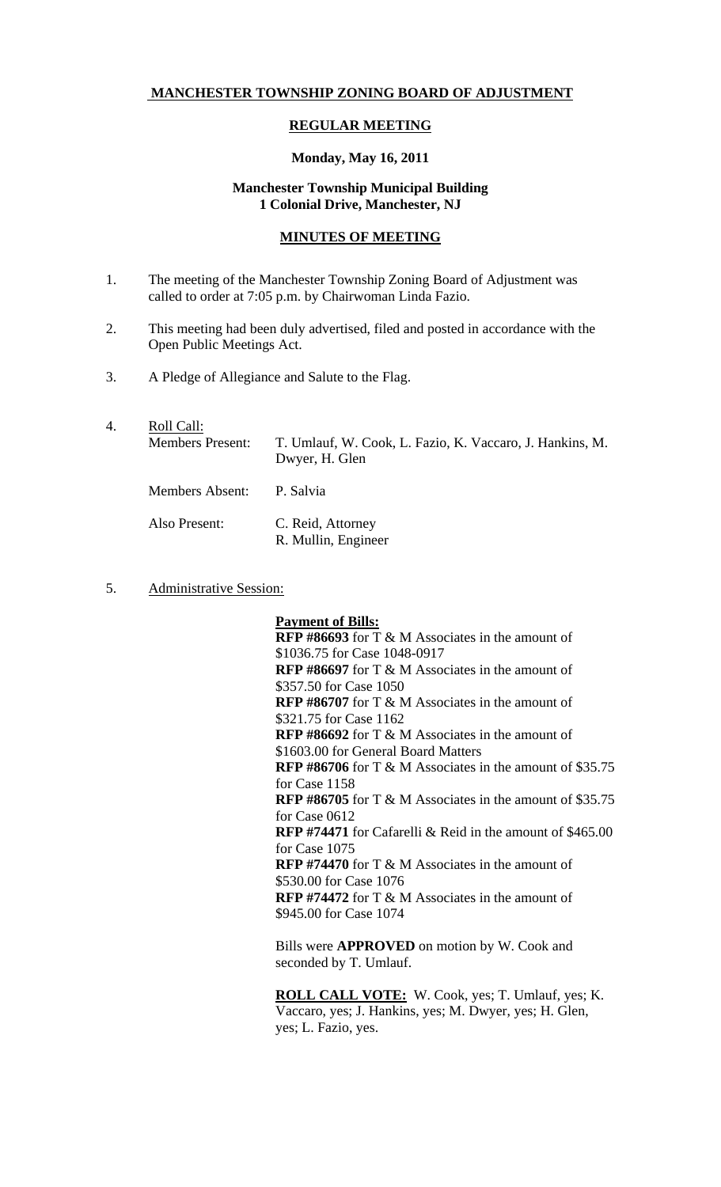## **MANCHESTER TOWNSHIP ZONING BOARD OF ADJUSTMENT**

#### **REGULAR MEETING**

#### **Monday, May 16, 2011**

# **Manchester Township Municipal Building 1 Colonial Drive, Manchester, NJ**

## **MINUTES OF MEETING**

- 1. The meeting of the Manchester Township Zoning Board of Adjustment was called to order at 7:05 p.m. by Chairwoman Linda Fazio.
- 2. This meeting had been duly advertised, filed and posted in accordance with the Open Public Meetings Act.
- 3. A Pledge of Allegiance and Salute to the Flag.
- 4. Roll Call: Members Present: T. Umlauf, W. Cook, L. Fazio, K. Vaccaro, J. Hankins, M. Dwyer, H. Glen Members Absent: P. Salvia Also Present: C. Reid, Attorney R. Mullin, Engineer
- 5. Administrative Session:

**Payment of Bills: RFP #86693** for T & M Associates in the amount of \$1036.75 for Case 1048-0917 **RFP #86697** for T & M Associates in the amount of \$357.50 for Case 1050 **RFP #86707** for T & M Associates in the amount of \$321.75 for Case 1162 **RFP #86692** for T & M Associates in the amount of \$1603.00 for General Board Matters **RFP #86706** for T & M Associates in the amount of \$35.75 for Case 1158 **RFP #86705** for T & M Associates in the amount of \$35.75 for Case 0612 **RFP #74471** for Cafarelli & Reid in the amount of \$465.00 for Case 1075 **RFP #74470** for T & M Associates in the amount of \$530.00 for Case 1076 **RFP #74472** for T & M Associates in the amount of \$945.00 for Case 1074

Bills were **APPROVED** on motion by W. Cook and seconded by T. Umlauf.

**ROLL CALL VOTE:** W. Cook, yes; T. Umlauf, yes; K. Vaccaro, yes; J. Hankins, yes; M. Dwyer, yes; H. Glen, yes; L. Fazio, yes.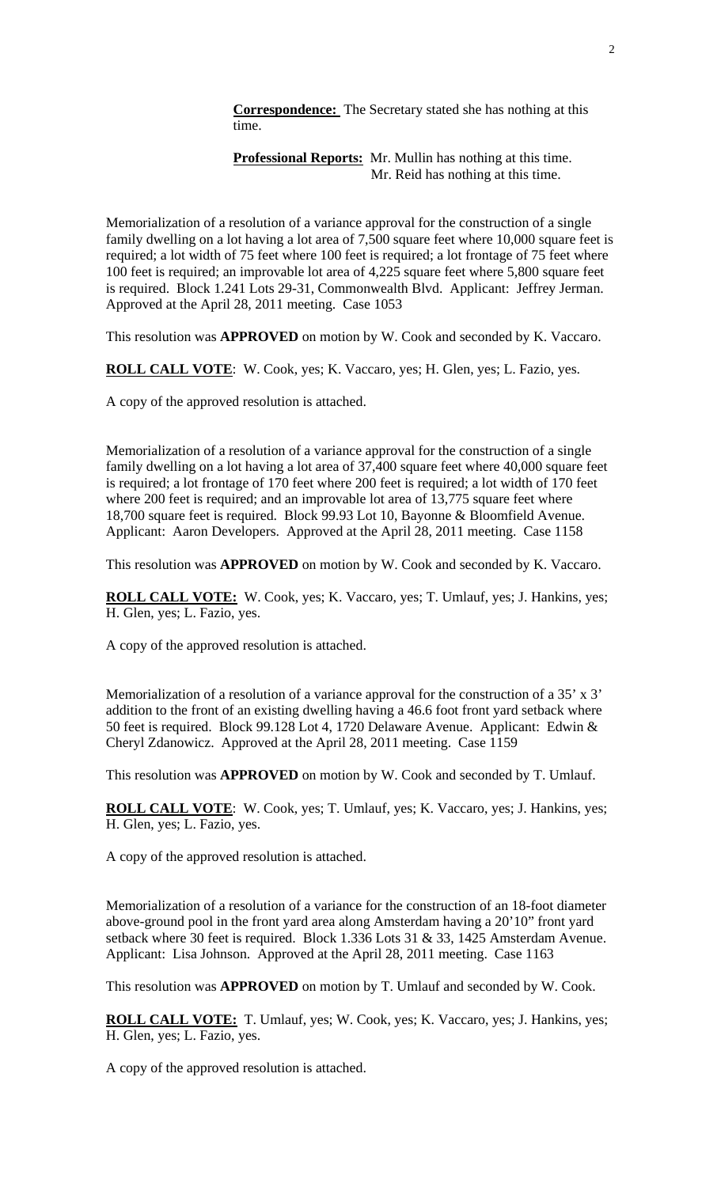**Correspondence:** The Secretary stated she has nothing at this time.

**Professional Reports:** Mr. Mullin has nothing at this time. Mr. Reid has nothing at this time.

Memorialization of a resolution of a variance approval for the construction of a single family dwelling on a lot having a lot area of 7,500 square feet where 10,000 square feet is required; a lot width of 75 feet where 100 feet is required; a lot frontage of 75 feet where 100 feet is required; an improvable lot area of 4,225 square feet where 5,800 square feet is required. Block 1.241 Lots 29-31, Commonwealth Blvd. Applicant: Jeffrey Jerman. Approved at the April 28, 2011 meeting. Case 1053

This resolution was **APPROVED** on motion by W. Cook and seconded by K. Vaccaro.

**ROLL CALL VOTE**: W. Cook, yes; K. Vaccaro, yes; H. Glen, yes; L. Fazio, yes.

A copy of the approved resolution is attached.

Memorialization of a resolution of a variance approval for the construction of a single family dwelling on a lot having a lot area of 37,400 square feet where 40,000 square feet is required; a lot frontage of 170 feet where 200 feet is required; a lot width of 170 feet where 200 feet is required; and an improvable lot area of 13,775 square feet where 18,700 square feet is required. Block 99.93 Lot 10, Bayonne & Bloomfield Avenue. Applicant: Aaron Developers. Approved at the April 28, 2011 meeting. Case 1158

This resolution was **APPROVED** on motion by W. Cook and seconded by K. Vaccaro.

**ROLL CALL VOTE:** W. Cook, yes; K. Vaccaro, yes; T. Umlauf, yes; J. Hankins, yes; H. Glen, yes; L. Fazio, yes.

A copy of the approved resolution is attached.

Memorialization of a resolution of a variance approval for the construction of a 35' x 3' addition to the front of an existing dwelling having a 46.6 foot front yard setback where 50 feet is required. Block 99.128 Lot 4, 1720 Delaware Avenue. Applicant: Edwin & Cheryl Zdanowicz. Approved at the April 28, 2011 meeting. Case 1159

This resolution was **APPROVED** on motion by W. Cook and seconded by T. Umlauf.

**ROLL CALL VOTE**: W. Cook, yes; T. Umlauf, yes; K. Vaccaro, yes; J. Hankins, yes; H. Glen, yes; L. Fazio, yes.

A copy of the approved resolution is attached.

Memorialization of a resolution of a variance for the construction of an 18-foot diameter above-ground pool in the front yard area along Amsterdam having a 20'10" front yard setback where 30 feet is required. Block 1.336 Lots 31 & 33, 1425 Amsterdam Avenue. Applicant: Lisa Johnson. Approved at the April 28, 2011 meeting. Case 1163

This resolution was **APPROVED** on motion by T. Umlauf and seconded by W. Cook.

**ROLL CALL VOTE:** T. Umlauf, yes; W. Cook, yes; K. Vaccaro, yes; J. Hankins, yes; H. Glen, yes; L. Fazio, yes.

A copy of the approved resolution is attached.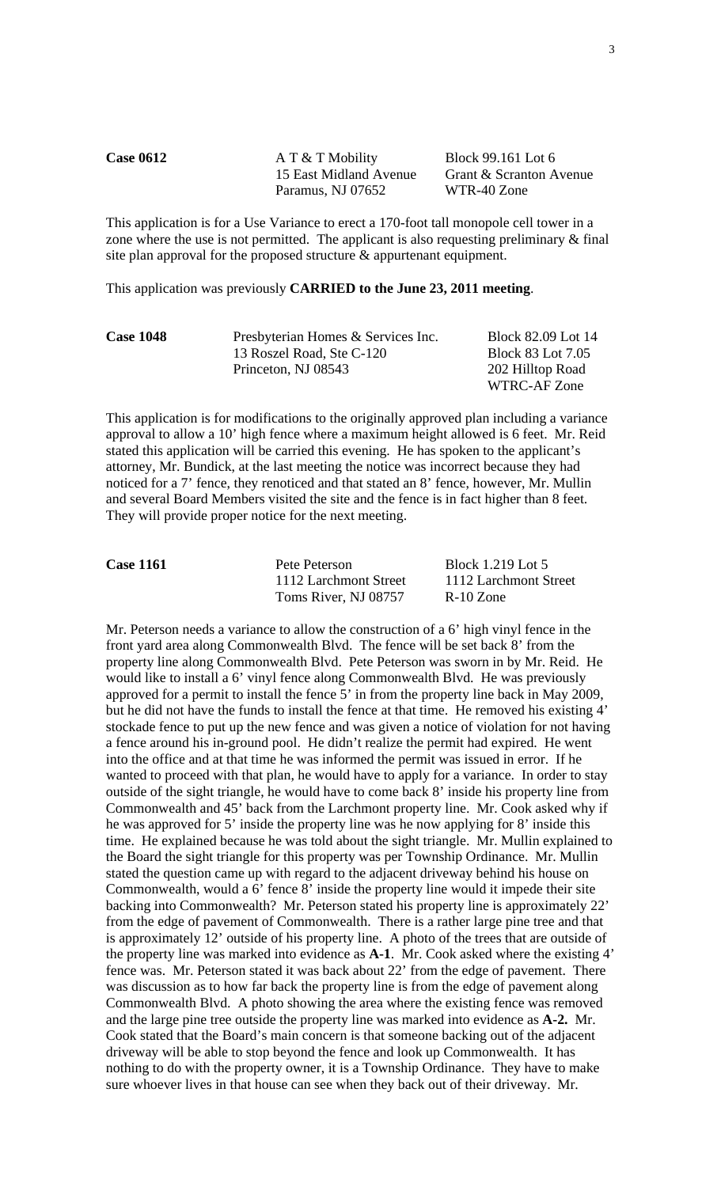| <b>Case 0612</b> | $A T & T$ Mobility     | Block 99.161 Lot 6      |
|------------------|------------------------|-------------------------|
|                  | 15 East Midland Avenue | Grant & Scranton Avenue |
|                  | Paramus, NJ 07652      | WTR-40 Zone             |
|                  |                        |                         |

This application is for a Use Variance to erect a 170-foot tall monopole cell tower in a zone where the use is not permitted. The applicant is also requesting preliminary & final site plan approval for the proposed structure & appurtenant equipment.

This application was previously **CARRIED to the June 23, 2011 meeting**.

| <b>Case 1048</b> | Presbyterian Homes & Services Inc. | Block 82.09 Lot 14 |
|------------------|------------------------------------|--------------------|
|                  | 13 Roszel Road, Ste C-120          | Block 83 Lot 7.05  |
|                  | Princeton, NJ 08543                | 202 Hilltop Road   |
|                  |                                    | WTRC-AF Zone       |

This application is for modifications to the originally approved plan including a variance approval to allow a 10' high fence where a maximum height allowed is 6 feet. Mr. Reid stated this application will be carried this evening. He has spoken to the applicant's attorney, Mr. Bundick, at the last meeting the notice was incorrect because they had noticed for a 7' fence, they renoticed and that stated an 8' fence, however, Mr. Mullin and several Board Members visited the site and the fence is in fact higher than 8 feet. They will provide proper notice for the next meeting.

| <b>Case 1161</b> | Pete Peterson         | Block 1.219 Lot 5     |
|------------------|-----------------------|-----------------------|
|                  | 1112 Larchmont Street | 1112 Larchmont Street |
|                  | Toms River, NJ 08757  | $R-10$ Zone           |

Mr. Peterson needs a variance to allow the construction of a 6' high vinyl fence in the front yard area along Commonwealth Blvd. The fence will be set back 8' from the property line along Commonwealth Blvd. Pete Peterson was sworn in by Mr. Reid. He would like to install a 6' vinyl fence along Commonwealth Blvd. He was previously approved for a permit to install the fence 5' in from the property line back in May 2009, but he did not have the funds to install the fence at that time. He removed his existing 4' stockade fence to put up the new fence and was given a notice of violation for not having a fence around his in-ground pool. He didn't realize the permit had expired. He went into the office and at that time he was informed the permit was issued in error. If he wanted to proceed with that plan, he would have to apply for a variance. In order to stay outside of the sight triangle, he would have to come back 8' inside his property line from Commonwealth and 45' back from the Larchmont property line. Mr. Cook asked why if he was approved for 5' inside the property line was he now applying for 8' inside this time. He explained because he was told about the sight triangle. Mr. Mullin explained to the Board the sight triangle for this property was per Township Ordinance. Mr. Mullin stated the question came up with regard to the adjacent driveway behind his house on Commonwealth, would a 6' fence 8' inside the property line would it impede their site backing into Commonwealth? Mr. Peterson stated his property line is approximately 22' from the edge of pavement of Commonwealth. There is a rather large pine tree and that is approximately 12' outside of his property line. A photo of the trees that are outside of the property line was marked into evidence as **A-1**. Mr. Cook asked where the existing 4' fence was. Mr. Peterson stated it was back about 22' from the edge of pavement. There was discussion as to how far back the property line is from the edge of pavement along Commonwealth Blvd. A photo showing the area where the existing fence was removed and the large pine tree outside the property line was marked into evidence as **A-2.** Mr. Cook stated that the Board's main concern is that someone backing out of the adjacent driveway will be able to stop beyond the fence and look up Commonwealth. It has nothing to do with the property owner, it is a Township Ordinance. They have to make sure whoever lives in that house can see when they back out of their driveway. Mr.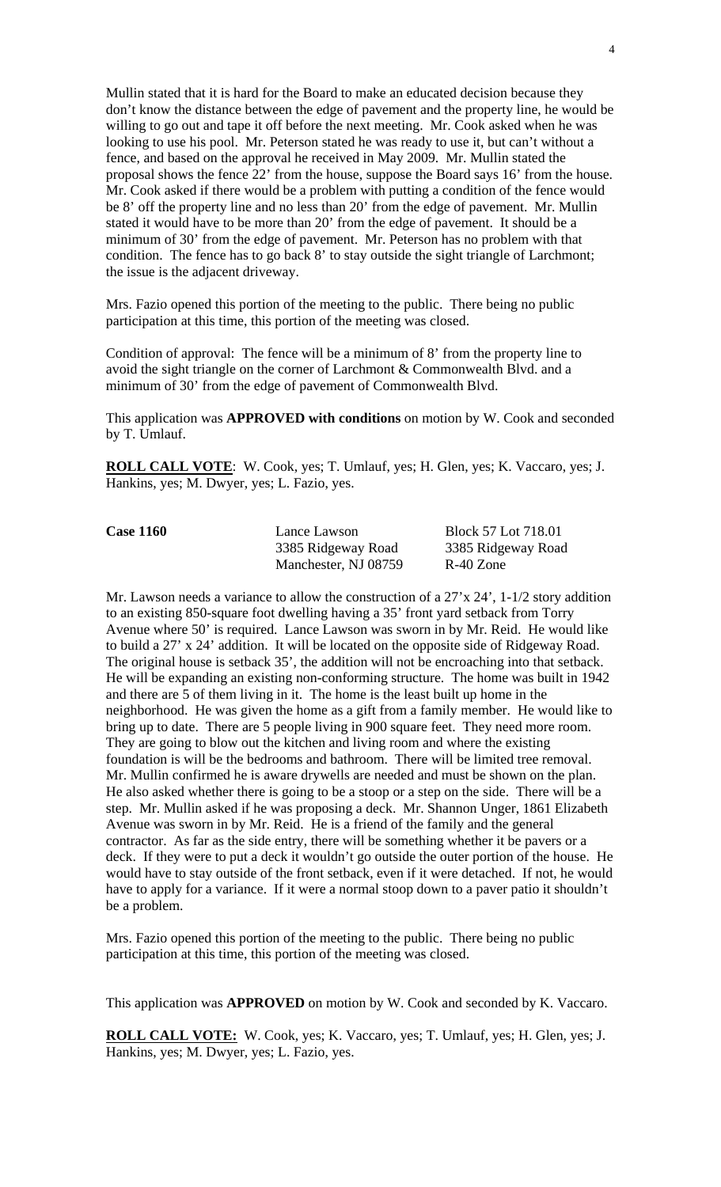Mullin stated that it is hard for the Board to make an educated decision because they don't know the distance between the edge of pavement and the property line, he would be willing to go out and tape it off before the next meeting. Mr. Cook asked when he was looking to use his pool. Mr. Peterson stated he was ready to use it, but can't without a fence, and based on the approval he received in May 2009. Mr. Mullin stated the proposal shows the fence 22' from the house, suppose the Board says 16' from the house. Mr. Cook asked if there would be a problem with putting a condition of the fence would be 8' off the property line and no less than 20' from the edge of pavement. Mr. Mullin stated it would have to be more than 20' from the edge of pavement. It should be a minimum of 30' from the edge of pavement. Mr. Peterson has no problem with that condition. The fence has to go back 8' to stay outside the sight triangle of Larchmont; the issue is the adjacent driveway.

Mrs. Fazio opened this portion of the meeting to the public. There being no public participation at this time, this portion of the meeting was closed.

Condition of approval: The fence will be a minimum of 8' from the property line to avoid the sight triangle on the corner of Larchmont & Commonwealth Blvd. and a minimum of 30' from the edge of pavement of Commonwealth Blvd.

This application was **APPROVED with conditions** on motion by W. Cook and seconded by T. Umlauf.

**ROLL CALL VOTE**: W. Cook, yes; T. Umlauf, yes; H. Glen, yes; K. Vaccaro, yes; J. Hankins, yes; M. Dwyer, yes; L. Fazio, yes.

| <b>Case 1160</b> | Lance Lawson         | Block 57 Lot 718.01 |
|------------------|----------------------|---------------------|
|                  | 3385 Ridgeway Road   | 3385 Ridgeway Road  |
|                  | Manchester, NJ 08759 | R-40 Zone           |

Mr. Lawson needs a variance to allow the construction of a 27'x 24', 1-1/2 story addition to an existing 850-square foot dwelling having a 35' front yard setback from Torry Avenue where 50' is required. Lance Lawson was sworn in by Mr. Reid. He would like to build a 27' x 24' addition. It will be located on the opposite side of Ridgeway Road. The original house is setback 35', the addition will not be encroaching into that setback. He will be expanding an existing non-conforming structure. The home was built in 1942 and there are 5 of them living in it. The home is the least built up home in the neighborhood. He was given the home as a gift from a family member. He would like to bring up to date. There are 5 people living in 900 square feet. They need more room. They are going to blow out the kitchen and living room and where the existing foundation is will be the bedrooms and bathroom. There will be limited tree removal. Mr. Mullin confirmed he is aware drywells are needed and must be shown on the plan. He also asked whether there is going to be a stoop or a step on the side. There will be a step. Mr. Mullin asked if he was proposing a deck. Mr. Shannon Unger, 1861 Elizabeth Avenue was sworn in by Mr. Reid. He is a friend of the family and the general contractor. As far as the side entry, there will be something whether it be pavers or a deck. If they were to put a deck it wouldn't go outside the outer portion of the house. He would have to stay outside of the front setback, even if it were detached. If not, he would have to apply for a variance. If it were a normal stoop down to a paver patio it shouldn't be a problem.

Mrs. Fazio opened this portion of the meeting to the public. There being no public participation at this time, this portion of the meeting was closed.

This application was **APPROVED** on motion by W. Cook and seconded by K. Vaccaro.

**ROLL CALL VOTE:** W. Cook, yes; K. Vaccaro, yes; T. Umlauf, yes; H. Glen, yes; J. Hankins, yes; M. Dwyer, yes; L. Fazio, yes.